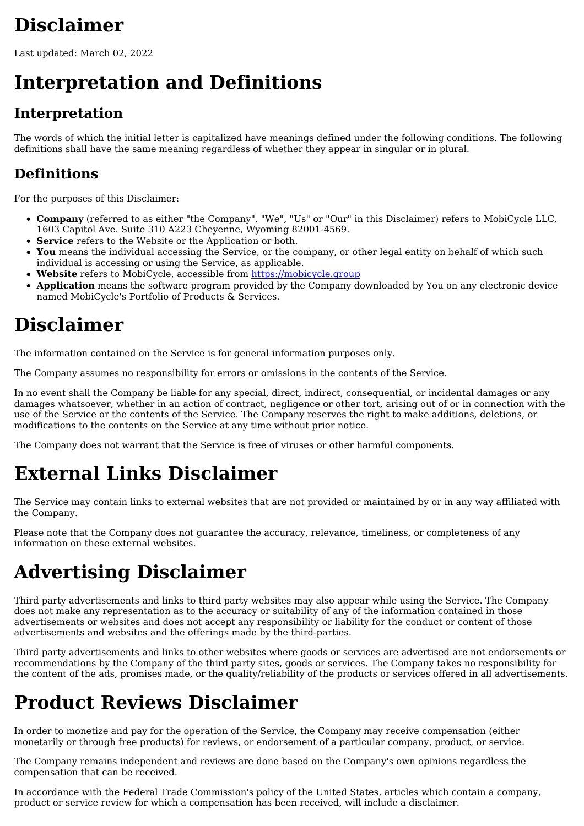# **Disclaimer**

Last updated: March 02, 2022

# **Interpretation and Definitions**

#### **Interpretation**

The words of which the initial letter is capitalized have meanings defined under the following conditions. The following definitions shall have the same meaning regardless of whether they appear in singular or in plural.

#### **Definitions**

For the purposes of this Disclaimer:

- **Company** (referred to as either "the Company", "We", "Us" or "Our" in this Disclaimer) refers to MobiCycle LLC, 1603 Capitol Ave. Suite 310 A223 Cheyenne, Wyoming 82001-4569.
- **Service** refers to the Website or the Application or both.
- **You** means the individual accessing the Service, or the company, or other legal entity on behalf of which such individual is accessing or using the Service, as applicable.
- **Website** refers to MobiCycle, accessible from [https://mobicycle.group](https://mobicycle.group/)
- **Application** means the software program provided by the Company downloaded by You on any electronic device named MobiCycle's Portfolio of Products & Services.

## **Disclaimer**

The information contained on the Service is for general information purposes only.

The Company assumes no responsibility for errors or omissions in the contents of the Service.

In no event shall the Company be liable for any special, direct, indirect, consequential, or incidental damages or any damages whatsoever, whether in an action of contract, negligence or other tort, arising out of or in connection with the use of the Service or the contents of the Service. The Company reserves the right to make additions, deletions, or modifications to the contents on the Service at any time without prior notice.

The Company does not warrant that the Service is free of viruses or other harmful components.

## **External Links Disclaimer**

The Service may contain links to external websites that are not provided or maintained by or in any way affiliated with the Company.

Please note that the Company does not guarantee the accuracy, relevance, timeliness, or completeness of any information on these external websites.

## **Advertising Disclaimer**

Third party advertisements and links to third party websites may also appear while using the Service. The Company does not make any representation as to the accuracy or suitability of any of the information contained in those advertisements or websites and does not accept any responsibility or liability for the conduct or content of those advertisements and websites and the offerings made by the third-parties.

Third party advertisements and links to other websites where goods or services are advertised are not endorsements or recommendations by the Company of the third party sites, goods or services. The Company takes no responsibility for the content of the ads, promises made, or the quality/reliability of the products or services offered in all advertisements.

## **Product Reviews Disclaimer**

In order to monetize and pay for the operation of the Service, the Company may receive compensation (either monetarily or through free products) for reviews, or endorsement of a particular company, product, or service.

The Company remains independent and reviews are done based on the Company's own opinions regardless the compensation that can be received.

In accordance with the Federal Trade Commission's policy of the United States, articles which contain a company, product or service review for which a compensation has been received, will include a disclaimer.